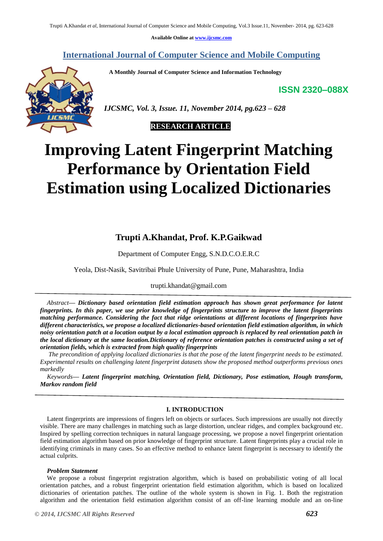**Available Online at [www.ijcsmc.com](http://www.ijcsmc.com/)**

**International Journal of Computer Science and Mobile Computing**

 **A Monthly Journal of Computer Science and Information Technology**



 *IJCSMC, Vol. 3, Issue. 11, November 2014, pg.623 – 628*

# **RESEARCH ARTICLE**

# **Improving Latent Fingerprint Matching Performance by Orientation Field Estimation using Localized Dictionaries**

# **Trupti A.Khandat, Prof. K.P.Gaikwad**

Department of Computer Engg, S.N.D.C.O.E.R.C

Yeola, Dist-Nasik, Savitribai Phule University of Pune, Pune, Maharashtra, India

# trupti.khandat@gmail.com

*Abstract— Dictionary based orientation field estimation approach has shown great performance for latent fingerprints. In this paper, we use prior knowledge of fingerprints structure to improve the latent fingerprints matching performance. Considering the fact that ridge orientations at different locations of fingerprints have different characteristics, we propose a localized dictionaries-based orientation field estimation algorithm, in which noisy orientation patch at a location output by a local estimation approach is replaced by real orientation patch in the local dictionary at the same location.Dictionary of reference orientation patches is constructed using a set of orientation fields, which is extracted from high quality fingerprints*

*The precondition of applying localized dictionaries is that the pose of the latent fingerprint needs to be estimated. Experimental results on challenging latent fingerprint datasets show the proposed method outperforms previous ones markedly*

*Keywords— Latent fingerprint matching, Orientation field, Dictionary, Pose estimation, Hough transform, Markov random field*

# **I. INTRODUCTION**

Latent fingerprints are impressions of fingers left on objects or surfaces. Such impressions are usually not directly visible. There are many challenges in matching such as large distortion, unclear ridges, and complex background etc. Inspired by spelling correction techniques in natural language processing, we propose a novel fingerprint orientation field estimation algorithm based on prior knowledge of fingerprint structure. Latent fingerprints play a crucial role in identifying criminals in many cases. So an effective method to enhance latent fingerprint is necessary to identify the actual culprits.

# *Problem Statement*

We propose a robust fingerprint registration algorithm, which is based on probabilistic voting of all local orientation patches, and a robust fingerprint orientation field estimation algorithm, which is based on localized dictionaries of orientation patches. The outline of the whole system is shown in Fig. 1. Both the registration algorithm and the orientation field estimation algorithm consist of an off-line learning module and an on-line

**ISSN 2320–088X**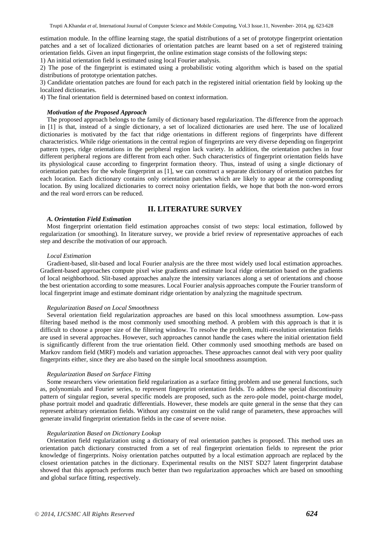estimation module. In the offline learning stage, the spatial distributions of a set of prototype fingerprint orientation patches and a set of localized dictionaries of orientation patches are learnt based on a set of registered training orientation fields. Given an input fingerprint, the online estimation stage consists of the following steps:

1) An initial orientation field is estimated using local Fourier analysis.

2) The pose of the fingerprint is estimated using a probabilistic voting algorithm which is based on the spatial distributions of prototype orientation patches.

3) Candidate orientation patches are found for each patch in the registered initial orientation field by looking up the localized dictionaries.

4) The final orientation field is determined based on context information.

# *Motivation of the Proposed Approach*

The proposed approach belongs to the family of dictionary based regularization. The difference from the approach in [1] is that, instead of a single dictionary, a set of localized dictionaries are used here. The use of localized dictionaries is motivated by the fact that ridge orientations in different regions of fingerprints have different characteristics. While ridge orientations in the central region of fingerprints are very diverse depending on fingerprint pattern types, ridge orientations in the peripheral region lack variety. In addition, the orientation patches in four different peripheral regions are different from each other. Such characteristics of fingerprint orientation fields have its physiological cause according to fingerprint formation theory. Thus, instead of using a single dictionary of orientation patches for the whole fingerprint as [1], we can construct a separate dictionary of orientation patches for each location. Each dictionary contains only orientation patches which are likely to appear at the corresponding location. By using localized dictionaries to correct noisy orientation fields, we hope that both the non-word errors and the real word errors can be reduced.

# **II. LITERATURE SURVEY**

# *A. Orientation Field Estimation*

Most fingerprint orientation field estimation approaches consist of two steps: local estimation, followed by regularization (or smoothing). In literature survey, we provide a brief review of representative approaches of each step and describe the motivation of our approach.

# *Local Estimation*

Gradient-based, slit-based and local Fourier analysis are the three most widely used local estimation approaches. Gradient-based approaches compute pixel wise gradients and estimate local ridge orientation based on the gradients of local neighborhood. Slit-based approaches analyze the intensity variances along a set of orientations and choose the best orientation according to some measures. Local Fourier analysis approaches compute the Fourier transform of local fingerprint image and estimate dominant ridge orientation by analyzing the magnitude spectrum.

#### *Regularization Based on Local Smoothness*

Several orientation field regularization approaches are based on this local smoothness assumption. Low-pass filtering based method is the most commonly used smoothing method. A problem with this approach is that it is difficult to choose a proper size of the filtering window. To resolve the problem, multi-resolution orientation fields are used in several approaches. However, such approaches cannot handle the cases where the initial orientation field is significantly different from the true orientation field. Other commonly used smoothing methods are based on Markov random field (MRF) models and variation approaches. These approaches cannot deal with very poor quality fingerprints either, since they are also based on the simple local smoothness assumption.

#### *Regularization Based on Surface Fitting*

Some researchers view orientation field regularization as a surface fitting problem and use general functions, such as, polynomials and Fourier series, to represent fingerprint orientation fields. To address the special discontinuity pattern of singular region, several specific models are proposed, such as the zero-pole model, point-charge model, phase portrait model and quadratic differentials. However, these models are quite general in the sense that they can represent arbitrary orientation fields. Without any constraint on the valid range of parameters, these approaches will generate invalid fingerprint orientation fields in the case of severe noise.

# *Regularization Based on Dictionary Lookup*

Orientation field regularization using a dictionary of real orientation patches is proposed. This method uses an orientation patch dictionary constructed from a set of real fingerprint orientation fields to represent the prior knowledge of fingerprints. Noisy orientation patches outputted by a local estimation approach are replaced by the closest orientation patches in the dictionary. Experimental results on the NIST SD27 latent fingerprint database showed that this approach performs much better than two regularization approaches which are based on smoothing and global surface fitting, respectively.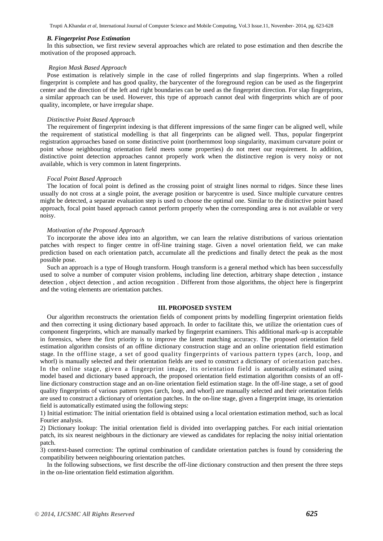Trupti A.Khandat *et al*, International Journal of Computer Science and Mobile Computing, Vol.3 Issue.11, November- 2014, pg. 623-628

#### *B. Fingerprint Pose Estimation*

In this subsection, we first review several approaches which are related to pose estimation and then describe the motivation of the proposed approach.

#### *Region Mask Based Approach*

Pose estimation is relatively simple in the case of rolled fingerprints and slap fingerprints. When a rolled fingerprint is complete and has good quality, the barycenter of the foreground region can be used as the fingerprint center and the direction of the left and right boundaries can be used as the fingerprint direction. For slap fingerprints, a similar approach can be used. However, this type of approach cannot deal with fingerprints which are of poor quality, incomplete, or have irregular shape.

#### *Distinctive Point Based Approach*

The requirement of fingerprint indexing is that different impressions of the same finger can be aligned well, while the requirement of statistical modelling is that all fingerprints can be aligned well. Thus, popular fingerprint registration approaches based on some distinctive point (northernmost loop singularity, maximum curvature point or point whose neighbouring orientation field meets some properties) do not meet our requirement. In addition, distinctive point detection approaches cannot properly work when the distinctive region is very noisy or not available, which is very common in latent fingerprints.

# *Focal Point Based Approach*

The location of focal point is defined as the crossing point of straight lines normal to ridges. Since these lines usually do not cross at a single point, the average position or barycentre is used. Since multiple curvature centres might be detected, a separate evaluation step is used to choose the optimal one. Similar to the distinctive point based approach, focal point based approach cannot perform properly when the corresponding area is not available or very noisy.

#### *Motivation of the Proposed Approach*

To incorporate the above idea into an algorithm, we can learn the relative distributions of various orientation patches with respect to finger centre in off-line training stage. Given a novel orientation field, we can make prediction based on each orientation patch, accumulate all the predictions and finally detect the peak as the most possible pose.

Such an approach is a type of Hough transform. Hough transform is a general method which has been successfully used to solve a number of computer vision problems, including line detection, arbitrary shape detection , instance detection , object detection , and action recognition . Different from those algorithms, the object here is fingerprint and the voting elements are orientation patches.

#### **III. PROPOSED SYSTEM**

Our algorithm reconstructs the orientation fields of component prints by modelling fingerprint orientation fields and then correcting it using dictionary based approach. In order to facilitate this, we utilize the orientation cues of component fingerprints, which are manually marked by fingerprint examiners. This additional mark-up is acceptable in forensics, where the first priority is to improve the latent matching accuracy. The proposed orientation field estimation algorithm consists of an offline dictionary construction stage and an online orientation field estimation stage. In the offline stage, a set of good quality fingerprints of various pattern types (arch, loop, and whorl) is manually selected and their orientation fields are used to construct a dictionary of orientation patches. In the online stage, given a fingerprint image, its orientation field is automatically estimated using model based and dictionary based approach, the proposed orientation field estimation algorithm consists of an offline dictionary construction stage and an on-line orientation field estimation stage. In the off-line stage, a set of good quality fingerprints of various pattern types (arch, loop, and whorl) are manually selected and their orientation fields are used to construct a dictionary of orientation patches. In the on-line stage, given a fingerprint image, its orientation field is automatically estimated using the following steps:

1) Initial estimation: The initial orientation field is obtained using a local orientation estimation method, such as local Fourier analysis.

2) Dictionary lookup: The initial orientation field is divided into overlapping patches. For each initial orientation patch, its six nearest neighbours in the dictionary are viewed as candidates for replacing the noisy initial orientation patch.

3) context-based correction: The optimal combination of candidate orientation patches is found by considering the compatibility between neighbouring orientation patches.

In the following subsections, we first describe the off-line dictionary construction and then present the three steps in the on-line orientation field estimation algorithm.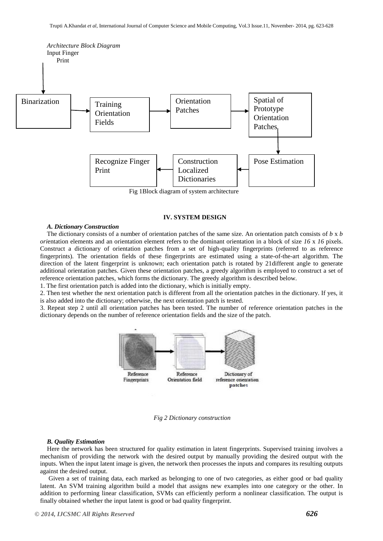

Fig 1Block diagram of system architecture

# **IV. SYSTEM DESIGN**

## *A. Dictionary Construction*

The dictionary consists of a number of orientation patches of the same size. An orientation patch consists of *b* x *b ori*entation elements and an orientation element refers to the dominant orientation in a block of size *16* x *16* pixels. Construct a dictionary of orientation patches from a set of high-quality fingerprints (referred to as reference fingerprints). The orientation fields of these fingerprints are estimated using a state-of-the-art algorithm. The direction of the latent fingerprint is unknown; each orientation patch is rotated by 21different angle to generate additional orientation patches. Given these orientation patches, a greedy algorithm is employed to construct a set of reference orientation patches, which forms the dictionary. The greedy algorithm is described below.

1. The first orientation patch is added into the dictionary, which is initially empty.

2. Then test whether the next orientation patch is different from all the orientation patches in the dictionary. If yes, it is also added into the dictionary; otherwise, the next orientation patch is tested.

3. Repeat step 2 until all orientation patches has been tested. The number of reference orientation patches in the dictionary depends on the number of reference orientation fields and the size of the patch.



*Fig 2 Dictionary construction*

## *B. Quality Estimation*

Here the network has been structured for quality estimation in latent fingerprints. Supervised training involves a mechanism of providing the network with the desired output by manually providing the desired output with the inputs. When the input latent image is given, the network then processes the inputs and compares its resulting outputs against the desired output.

Given a set of training data, each marked as belonging to one of two categories, as either good or bad quality latent. An SVM training algorithm build a model that assigns new examples into one category or the other. In addition to performing linear classification, SVMs can efficiently perform a nonlinear classification. The output is finally obtained whether the input latent is good or bad quality fingerprint.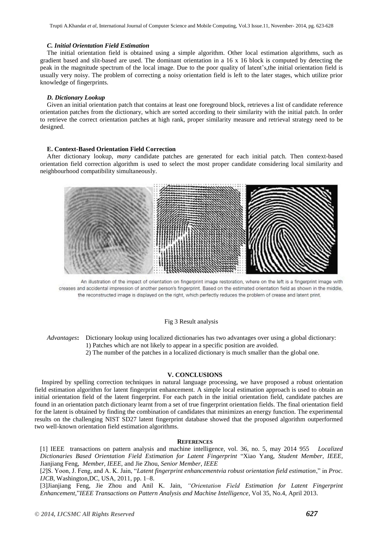Trupti A.Khandat *et al*, International Journal of Computer Science and Mobile Computing, Vol.3 Issue.11, November- 2014, pg. 623-628

# *C. Initial Orientation Field Estimation*

The initial orientation field is obtained using a simple algorithm. Other local estimation algorithms, such as gradient based and slit-based are used. The dominant orientation in a 16 x 16 block is computed by detecting the peak in the magnitude spectrum of the local image. Due to the poor quality of latent's,the initial orientation field is usually very noisy. The problem of correcting a noisy orientation field is left to the later stages, which utilize prior knowledge of fingerprints.

# *D. Dictionary Lookup*

Given an initial orientation patch that contains at least one foreground block, retrieves a list of candidate reference orientation patches from the dictionary, which are sorted according to their similarity with the initial patch. In order to retrieve the correct orientation patches at high rank, proper similarity measure and retrieval strategy need to be designed.

#### **E. Context-Based Orientation Field Correction**

After dictionary lookup, *many* candidate patches are generated for each initial patch. Then context-based orientation field correction algorithm is used to select the most proper candidate considering local similarity and neighbourhood compatibility simultaneously.



An illustration of the impact of orientation on fingerprint image restoration, where on the left is a fingerprint image with creases and accidental impression of another person's fingerprint. Based on the estimated orientation field as shown in the middle, the reconstructed image is displayed on the right, which perfectly reduces the problem of crease and latent print.

# Fig 3 Result analysis

*Advantages***:** Dictionary lookup using localized dictionaries has two advantages over using a global dictionary: 1) Patches which are not likely to appear in a specific position are avoided.

2) The number of the patches in a localized dictionary is much smaller than the global one.

# **V. CONCLUSIONS**

Inspired by spelling correction techniques in natural language processing, we have proposed a robust orientation field estimation algorithm for latent fingerprint enhancement. A simple local estimation approach is used to obtain an initial orientation field of the latent fingerprint. For each patch in the initial orientation field, candidate patches are found in an orientation patch dictionary learnt from a set of true fingerprint orientation fields. The final orientation field for the latent is obtained by finding the combination of candidates that minimizes an energy function. The experimental results on the challenging NIST SD27 latent fingerprint database showed that the proposed algorithm outperformed two well-known orientation field estimation algorithms.

#### **REFERENCES**

[1] IEEE transactions on pattern analysis and machine intelligence, vol. 36, no. 5, may 2014 955 *Localized Dictionaries Based Orientation Field Estimation for Latent Fingerprint* "Xiao Yang, *Student Member, IEEE,*  Jianjiang Feng, *Member, IEEE,* and Jie Zhou, *Senior Member, IEEE*

[*2*]S. Yoon, J. Feng, and A. K. Jain, "*Latent fingerprint enhancementvia robust orientation field estimation*," in *Proc. IJCB*, Washington,DC, USA, 2011, pp. 1–8.

[3]Jianjiang Feng, Jie Zhou and Anil K. Jain, *"Orientation Field Estimation for Latent Fingerprint Enhancement,*"*IEEE Transactions on Pattern Analysis and Machine Intelligence*, Vol 35, No.4, April 2013.